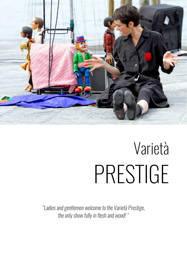

# Varietà PRESTIGE

*"Ladies and gentlemen welcome to the Varietà Prestige, the only show fully in flesh and wood! "*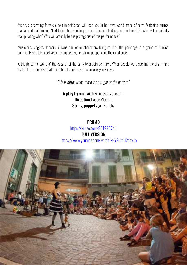Mizzie, a charming female clown in petticoat, will lead you in her own world made of retro fantasies, surreal manias and real dreams. Next to her, her wooden partners, innocent looking marionettes, but….who will be actually manipulating who? Who will actually be the protagonist of this performance?

Musicians, singers, dancers, clowns and other characters bring to life little paintings in a game of musical comments and jokes between the puppeteer, her string puppets and their audiences.

A tribute to the world of the cabaret of the early twentieth century… When people were seeking the charm and tasted the sweetness that the Cabaret could give, because as you know…

*"life is bitter when there is no sugar at the bottom"* 

## A play by and with Francesca Zoccarato **Direction Dadde Visconti String puppets Jan Ruzicka**

## PROMO https://vimeo.com/251298741 FULL VERSION https://www.youtube.com/watch?v=Y9KmH2dgx1o

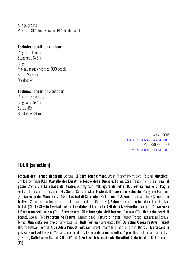All age groups Playtime: 30' street version | 60' theater version

#### Technical conditions-indoor:

Playtime 50 minuts Stage area 6x5m Stage 1m Maximum audience size: 300 people Set up 2h 30m Break down 1h

#### Technical conditions-outdoor:

Playtime 35 minuts Stage area 5x4m Set up 45m Break down 30m

> Silvia Limone contact@francescazoccarato.com Mob. 339 8201037 www.francescazoccarato.com

## TOUR (selection)

Festival degli artisti di strada, Ascona (CH); Tra Terra e Mare, Urban Theater International Festival; Mittelfest, Cividale del Friuli (UD), Castello dei Burattini-Teatro delle Briciole, Parma; Zona Franca, Parma; La luna nel pozzo, Caorle (VE); Le strade del teatro, Abbiatgrasso (MI); Figure di notte (TO); Festival Scene di Paglia Festival dei casoni e delle acque, PD; Santa Sofia busker Festival; Il paese dei Balocchi, Rosignano Marittima (PI); Arrivano dal Mare,! Cervia (RA),; Festival di Sarmede (TV); La Luna è Azzurrra, San Miniato (PI); Lonato in **festival**, Street art Theatre International Festival, Lonato del Garda (BS), **Animar**, Puppet Theatre International Festival, Teulada (CA), La Strada Festival, Brescia; Lunathica, Nole (TO), Le Arti della Marionetta, Ravenna (RA), Arrivano i Barbatangheri, Andalo (TN), Burattinarte, Alba; Immagini dell'Interno, Pinerolo (TO); Non solo pezzi di Legno!, Ceolini (PN); Peperoncino Festival, Diamante (CS); Figure di Notte, Puppet Theatre International Festival, Torino, Una città per gioco, Vimercate (MI); BAB Festival,(Benevento); BOF Burattini Opera Festival, Puppet Theatre Festival (Pesaro); Alpe Adria Puppet Festival, Puppet Theatre International Festival (Gorizia); Martesana in piazza, Street Art Festival (Monza, comuni limitrofi); Le arti della marionetta, Puppet Theatre International Festival (Ravenna) Caffeina, Festival of Culture (Viterbo); Festival Internazionale Burattini & Marionette, Colle Umberto (TV)...........